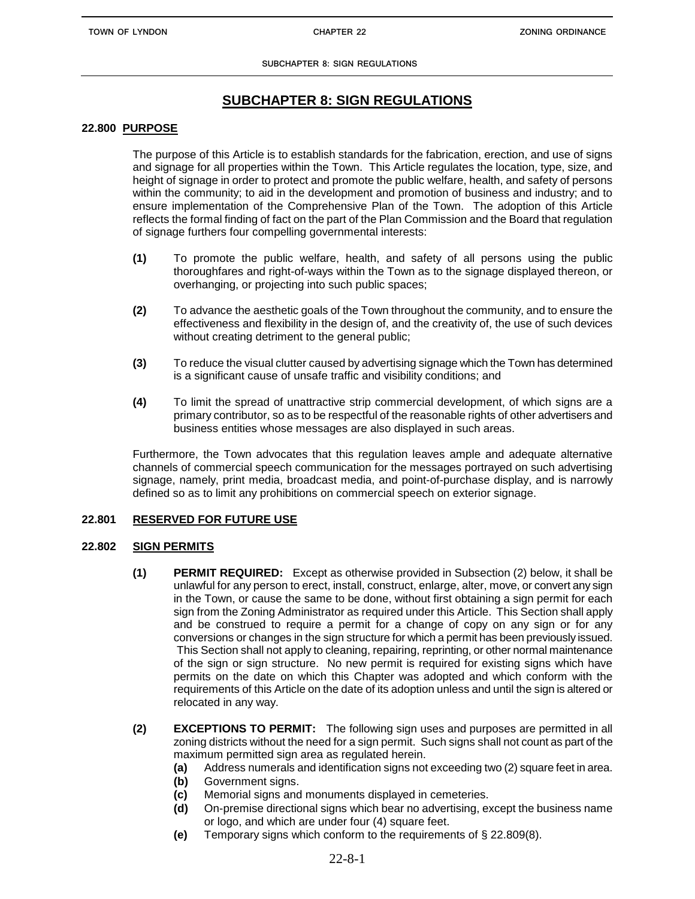# **SUBCHAPTER 8: SIGN REGULATIONS**

# **22.800 PURPOSE**

The purpose of this Article is to establish standards for the fabrication, erection, and use of signs and signage for all properties within the Town. This Article regulates the location, type, size, and height of signage in order to protect and promote the public welfare, health, and safety of persons within the community; to aid in the development and promotion of business and industry; and to ensure implementation of the Comprehensive Plan of the Town. The adoption of this Article reflects the formal finding of fact on the part of the Plan Commission and the Board that regulation of signage furthers four compelling governmental interests:

- **(1)** To promote the public welfare, health, and safety of all persons using the public thoroughfares and right-of-ways within the Town as to the signage displayed thereon, or overhanging, or projecting into such public spaces;
- **(2)** To advance the aesthetic goals of the Town throughout the community, and to ensure the effectiveness and flexibility in the design of, and the creativity of, the use of such devices without creating detriment to the general public;
- **(3)** To reduce the visual clutter caused by advertising signage which the Town has determined is a significant cause of unsafe traffic and visibility conditions; and
- **(4)** To limit the spread of unattractive strip commercial development, of which signs are a primary contributor, so as to be respectful of the reasonable rights of other advertisers and business entities whose messages are also displayed in such areas.

Furthermore, the Town advocates that this regulation leaves ample and adequate alternative channels of commercial speech communication for the messages portrayed on such advertising signage, namely, print media, broadcast media, and point-of-purchase display, and is narrowly defined so as to limit any prohibitions on commercial speech on exterior signage.

# **22.801 RESERVED FOR FUTURE USE**

# **22.802 SIGN PERMITS**

- **(1) PERMIT REQUIRED:** Except as otherwise provided in Subsection (2) below, it shall be unlawful for any person to erect, install, construct, enlarge, alter, move, or convert any sign in the Town, or cause the same to be done, without first obtaining a sign permit for each sign from the Zoning Administrator as required under this Article. This Section shall apply and be construed to require a permit for a change of copy on any sign or for any conversions or changes in the sign structure for which a permit has been previously issued. This Section shall not apply to cleaning, repairing, reprinting, or other normal maintenance of the sign or sign structure. No new permit is required for existing signs which have permits on the date on which this Chapter was adopted and which conform with the requirements of this Article on the date of its adoption unless and until the sign is altered or relocated in any way.
- **(2) EXCEPTIONS TO PERMIT:** The following sign uses and purposes are permitted in all zoning districts without the need for a sign permit. Such signs shall not count as part of the maximum permitted sign area as regulated herein.
	- **(a)** Address numerals and identification signs not exceeding two (2) square feet in area.
	- **(b)** Government signs.
	- **(c)** Memorial signs and monuments displayed in cemeteries.
	- **(d)** On-premise directional signs which bear no advertising, except the business name or logo, and which are under four (4) square feet.
	- **(e)** Temporary signs which conform to the requirements of § 22.809(8).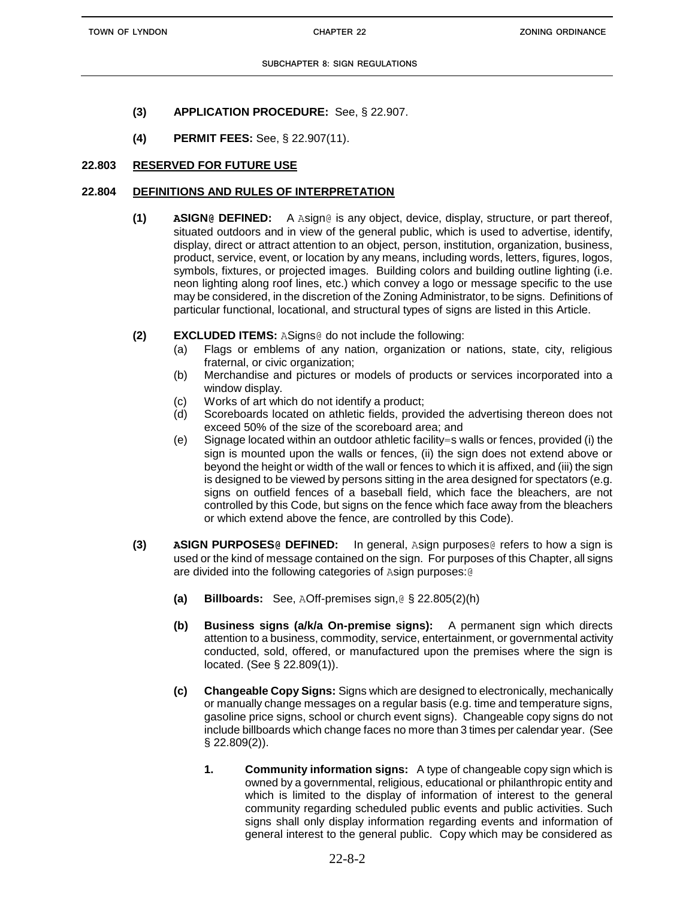- **(3) APPLICATION PROCEDURE:** See, § 22.907.
- **(4) PERMIT FEES:** See, § 22.907(11).

# **22.803 RESERVED FOR FUTURE USE**

## **22.804 DEFINITIONS AND RULES OF INTERPRETATION**

- **(1) ASIGN@ DEFINED:** A Asign@ is any object, device, display, structure, or part thereof, situated outdoors and in view of the general public, which is used to advertise, identify, display, direct or attract attention to an object, person, institution, organization, business, product, service, event, or location by any means, including words, letters, figures, logos, symbols, fixtures, or projected images. Building colors and building outline lighting (i.e. neon lighting along roof lines, etc.) which convey a logo or message specific to the use may be considered, in the discretion of the Zoning Administrator, to be signs. Definitions of particular functional, locational, and structural types of signs are listed in this Article.
- **(2) EXCLUDED ITEMS:** ASigns@ do not include the following:
	- (a) Flags or emblems of any nation, organization or nations, state, city, religious fraternal, or civic organization;
	- (b) Merchandise and pictures or models of products or services incorporated into a window display.
	- (c) Works of art which do not identify a product;
	- (d) Scoreboards located on athletic fields, provided the advertising thereon does not exceed 50% of the size of the scoreboard area; and
	- (e) Signage located within an outdoor athletic facility=s walls or fences, provided (i) the sign is mounted upon the walls or fences, (ii) the sign does not extend above or beyond the height or width of the wall or fences to which it is affixed, and (iii) the sign is designed to be viewed by persons sitting in the area designed for spectators (e.g. signs on outfield fences of a baseball field, which face the bleachers, are not controlled by this Code, but signs on the fence which face away from the bleachers or which extend above the fence, are controlled by this Code).
- **(3) ASIGN PURPOSES@ DEFINED:** In general, Asign purposes@ refers to how a sign is used or the kind of message contained on the sign. For purposes of this Chapter, all signs are divided into the following categories of Asign purposes:@
	- **(a) Billboards:** See, AOff-premises sign,@ § 22.805(2)(h)
	- **(b) Business signs (a/k/a On-premise signs):** A permanent sign which directs attention to a business, commodity, service, entertainment, or governmental activity conducted, sold, offered, or manufactured upon the premises where the sign is located. (See § 22.809(1)).
	- **(c) Changeable Copy Signs:** Signs which are designed to electronically, mechanically or manually change messages on a regular basis (e.g. time and temperature signs, gasoline price signs, school or church event signs). Changeable copy signs do not include billboards which change faces no more than 3 times per calendar year.(See § 22.809(2)).
		- **1. Community information signs:** A type of changeable copy sign which is owned by a governmental, religious, educational or philanthropic entity and which is limited to the display of information of interest to the general community regarding scheduled public events and public activities. Such signs shall only display information regarding events and information of general interest to the general public. Copy which may be considered as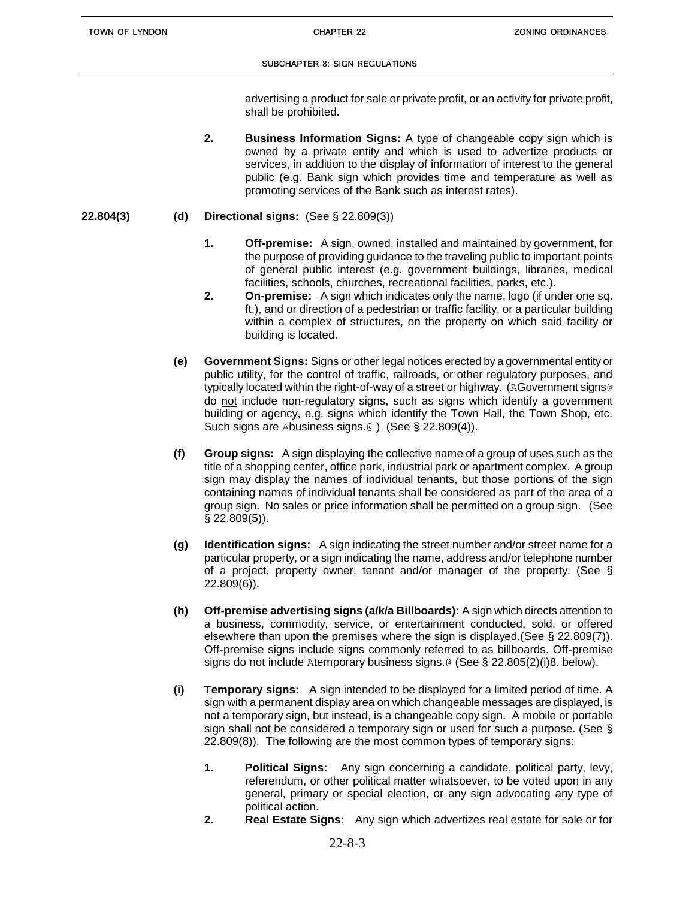advertising a product for sale or private profit, or an activity for private profit, shall be prohibited.

- **2. Business Information Signs:** A type of changeable copy sign which is owned by a private entity and which is used to advertize products or services, in addition to the display of information of interest to the general public (e.g. Bank sign which provides time and temperature as well as promoting services of the Bank such as interest rates).
- **22.804(3) (d) Directional signs:** (See § 22.809(3))
	- **1. Off-premise:** A sign, owned, installed and maintained by government, for the purpose of providing guidance to the traveling public to important points of general public interest (e.g. government buildings, libraries, medical facilities, schools, churches, recreational facilities, parks, etc.).
	- **2. On-premise:** A sign which indicates only the name, logo (if under one sq. ft.), and or direction of a pedestrian or traffic facility, or a particular building within a complex of structures, on the property on which said facility or building is located.
	- **(e) Government Signs:** Signs or other legal notices erected by a governmental entity or public utility, for the control of traffic, railroads, or other regulatory purposes, and typically located within the right-of-way of a street or highway. (AGovernment signs@ do not include non-regulatory signs, such as signs which identify a government building or agency, e.g. signs which identify the Town Hall, the Town Shop, etc. Such signs are Abusiness signs.@ ) (See § 22.809(4)).
	- **(f) Group signs:** A sign displaying the collective name of a group of uses such as the title of a shopping center, office park, industrial park or apartment complex. A group sign may display the names of individual tenants, but those portions of the sign containing names of individual tenants shall be considered as part of the area of a group sign. No sales or price information shall be permitted on a group sign. (See § 22.809(5)).
	- **(g) Identification signs:** A sign indicating the street number and/or street name for a particular property, or a sign indicating the name, address and/or telephone number of a project, property owner, tenant and/or manager of the property. (See § 22.809(6)).
	- **(h) Off-premise advertising signs (a/k/a Billboards):** A sign which directs attention to a business, commodity, service, or entertainment conducted, sold, or offered elsewhere than upon the premises where the sign is displayed.(See § 22.809(7)). Off-premise signs include signs commonly referred to as billboards. Off-premise signs do not include Atemporary business signs.@ (See § 22.805(2)(i)8. below).
	- **(i) Temporary signs:** A sign intended to be displayed for a limited period of time. A sign with a permanent display area on which changeable messages are displayed, is not a temporary sign, but instead, is a changeable copy sign. A mobile or portable sign shall not be considered a temporary sign or used for such a purpose. (See § 22.809(8)). The following are the most common types of temporary signs:
		- **1. Political Signs:** Any sign concerning a candidate, political party, levy, referendum, or other political matter whatsoever, to be voted upon in any general, primary or special election, or any sign advocating any type of political action.
		- **2. Real Estate Signs:** Any sign which advertizes real estate for sale or for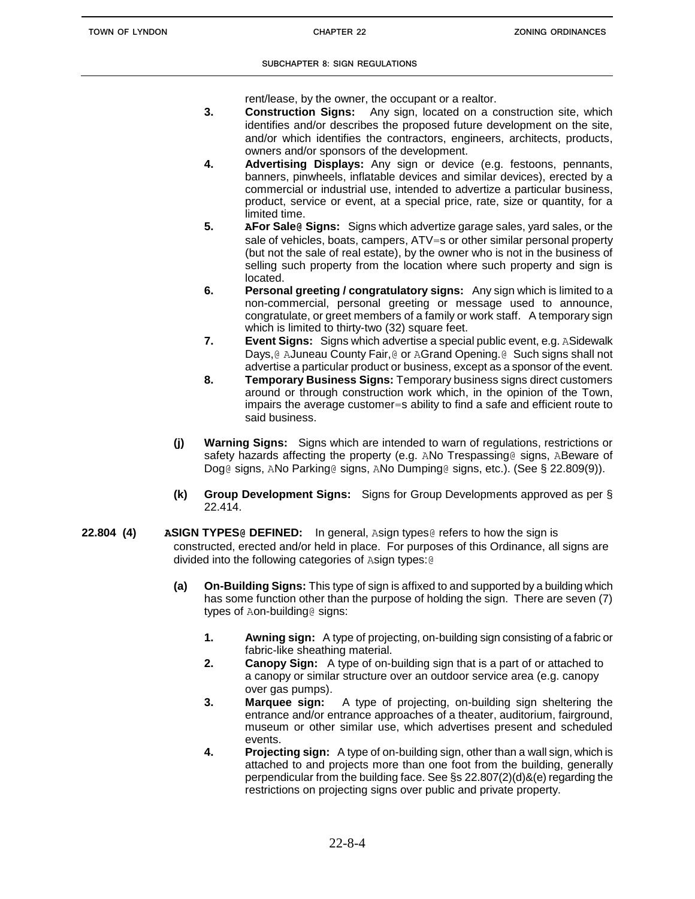rent/lease, by the owner, the occupant or a realtor.

- **3. Construction Signs:** Any sign, located on a construction site, which identifies and/or describes the proposed future development on the site, and/or which identifies the contractors, engineers, architects, products, owners and/or sponsors of the development.
- **4. Advertising Displays:** Any sign or device (e.g. festoons, pennants, banners, pinwheels, inflatable devices and similar devices), erected by a commercial or industrial use, intended to advertize a particular business, product, service or event, at a special price, rate, size or quantity, for a limited time.
- **5. AFor Sale@ Signs:** Signs which advertize garage sales, yard sales, or the sale of vehicles, boats, campers, ATV=s or other similar personal property (but not the sale of real estate), by the owner who is not in the business of selling such property from the location where such property and sign is located.
- **6. Personal greeting / congratulatory signs:** Any sign which is limited to a non-commercial, personal greeting or message used to announce, congratulate, or greet members of a family or work staff. A temporary sign which is limited to thirty-two (32) square feet.
- **7. Event Signs:** Signs which advertise a special public event, e.g. ASidewalk Days,@ AJuneau County Fair,@ or AGrand Opening.@ Such signs shall not advertise a particular product or business, except as a sponsor of the event.
- **8. Temporary Business Signs:** Temporary business signs direct customers around or through construction work which, in the opinion of the Town, impairs the average customer=s ability to find a safe and efficient route to said business.
- **(j) Warning Signs:** Signs which are intended to warn of regulations, restrictions or safety hazards affecting the property (e.g. ANo Trespassing@ signs, ABeware of Dog@ signs, ANo Parking@ signs, ANo Dumping@ signs, etc.). (See § 22.809(9)).
- **(k) Group Development Signs:** Signs for Group Developments approved as per § 22.414.
- **22.804 (4) ASIGN TYPES@ DEFINED:** In general, Asign types@ refers to how the sign is constructed, erected and/or held in place. For purposes of this Ordinance, all signs are divided into the following categories of Asign types:@
	- **(a) On-Building Signs:** This type of sign is affixed to and supported by a building which has some function other than the purpose of holding the sign. There are seven (7) types of Aon-building@ signs:
		- **1. Awning sign:** A type of projecting, on-building sign consisting of a fabric or fabric-like sheathing material.
		- **2. Canopy Sign:** A type of on-building sign that is a part of or attached to a canopy or similar structure over an outdoor service area (e.g. canopy over gas pumps).
		- **3. Marquee sign:** A type of projecting, on-building sign sheltering the entrance and/or entrance approaches of a theater, auditorium, fairground, museum or other similar use, which advertises present and scheduled events.
		- **4. Projecting sign:** A type of on-building sign, other than a wall sign, which is attached to and projects more than one foot from the building, generally perpendicular from the building face. See §s 22.807(2)(d)&(e) regarding the restrictions on projecting signs over public and private property.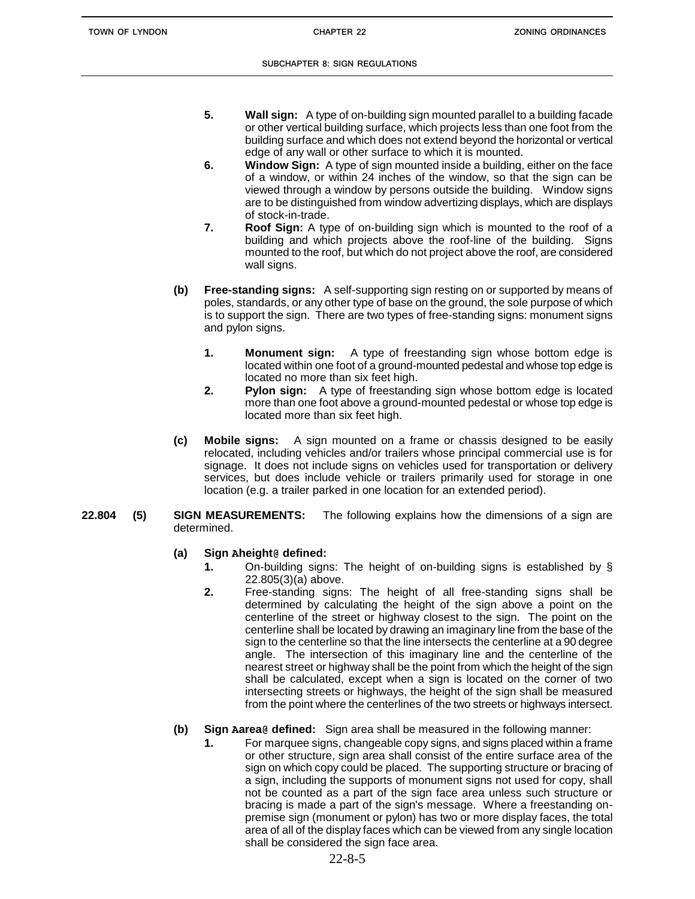- **5. Wall sign:** A type of on-building sign mounted parallel to a building facade or other vertical building surface, which projects less than one foot from the building surface and which does not extend beyond the horizontal or vertical edge of any wall or other surface to which it is mounted.
- **6. Window Sign:** A type of sign mounted inside a building, either on the face of a window, or within 24 inches of the window, so that the sign can be viewed through a window by persons outside the building. Window signs are to be distinguished from window advertizing displays, which are displays of stock-in-trade.
- **7. Roof Sign:** A type of on-building sign which is mounted to the roof of a building and which projects above the roof-line of the building. Signs mounted to the roof, but which do not project above the roof, are considered wall signs.
- **(b) Free-standing signs:** A self-supporting sign resting on or supported by means of poles, standards, or any other type of base on the ground, the sole purpose of which is to support the sign. There are two types of free-standing signs: monument signs and pylon signs.
	- **1. Monument sign:** A type of freestanding sign whose bottom edge is located within one foot of a ground-mounted pedestal and whose top edge is located no more than six feet high.
	- **2. Pylon sign:** A type of freestanding sign whose bottom edge is located more than one foot above a ground-mounted pedestal or whose top edge is located more than six feet high.
- **(c) Mobile signs:** A sign mounted on a frame or chassis designed to be easily relocated, including vehicles and/or trailers whose principal commercial use is for signage. It does not include signs on vehicles used for transportation or delivery services, but does include vehicle or trailers primarily used for storage in one location (e.g. a trailer parked in one location for an extended period).

## **22.804 (5) SIGN MEASUREMENTS:** The following explains how the dimensions of a sign are determined.

# **(a) Sign Aheight@ defined:**

- **1.** On-building signs: The height of on-building signs is established by § 22.805(3)(a) above.
- **2.** Free-standing signs: The height of all free-standing signs shall be determined by calculating the height of the sign above a point on the centerline of the street or highway closest to the sign. The point on the centerline shall be located by drawing an imaginary line from the base of the sign to the centerline so that the line intersects the centerline at a 90 degree angle. The intersection of this imaginary line and the centerline of the nearest street or highway shall be the point from which the height of the sign shall be calculated, except when a sign is located on the corner of two intersecting streets or highways, the height of the sign shall be measured from the point where the centerlines of the two streets or highways intersect.

# **(b) Sign Aarea@ defined:** Sign area shall be measured in the following manner:

**1.** For marquee signs, changeable copy signs, and signs placed within a frame or other structure, sign area shall consist of the entire surface area of the sign on which copy could be placed. The supporting structure or bracing of a sign, including the supports of monument signs not used for copy, shall not be counted as a part of the sign face area unless such structure or bracing is made a part of the sign's message. Where a freestanding onpremise sign (monument or pylon) has two or more display faces, the total area of all of the display faces which can be viewed from any single location shall be considered the sign face area.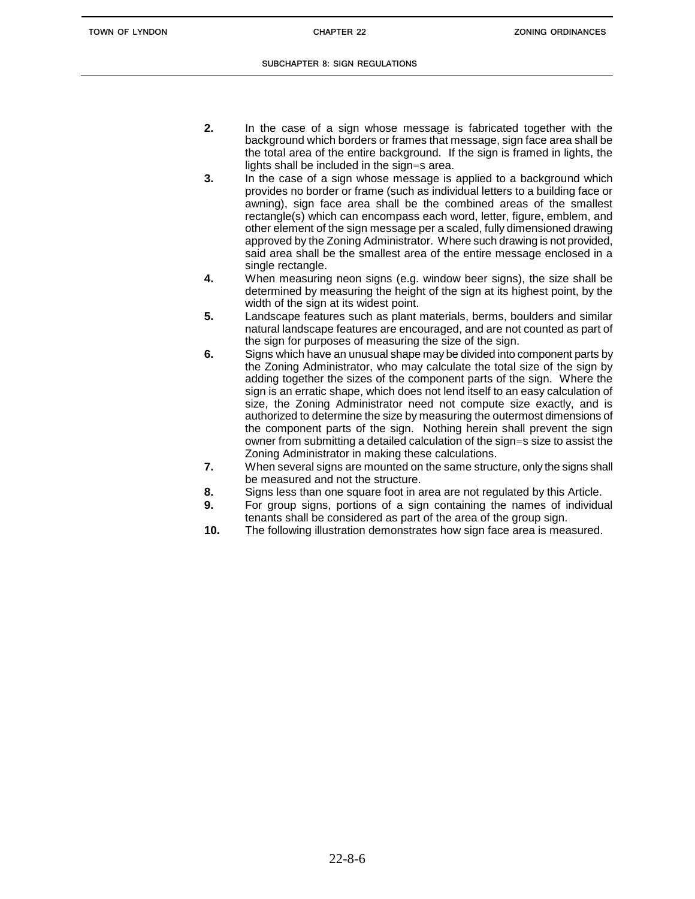- **2.** In the case of a sign whose message is fabricated together with the background which borders or frames that message, sign face area shall be the total area of the entire background. If the sign is framed in lights, the lights shall be included in the sign=s area.
- **3.** In the case of a sign whose message is applied to a background which provides no border or frame (such as individual letters to a building face or awning), sign face area shall be the combined areas of the smallest rectangle(s) which can encompass each word, letter, figure, emblem, and other element of the sign message per a scaled, fully dimensioned drawing approved by the Zoning Administrator. Where such drawing is not provided, said area shall be the smallest area of the entire message enclosed in a single rectangle.
- **4.** When measuring neon signs (e.g. window beer signs), the size shall be determined by measuring the height of the sign at its highest point, by the width of the sign at its widest point.
- **5.** Landscape features such as plant materials, berms, boulders and similar natural landscape features are encouraged, and are not counted as part of the sign for purposes of measuring the size of the sign.
- **6.** Signs which have an unusual shape may be divided into component parts by the Zoning Administrator, who may calculate the total size of the sign by adding together the sizes of the component parts of the sign. Where the sign is an erratic shape, which does not lend itself to an easy calculation of size, the Zoning Administrator need not compute size exactly, and is authorized to determine the size by measuring the outermost dimensions of the component parts of the sign. Nothing herein shall prevent the sign owner from submitting a detailed calculation of the sign=s size to assist the Zoning Administrator in making these calculations.
- **7.** When several signs are mounted on the same structure, only the signs shall be measured and not the structure.
- **8.** Signs less than one square foot in area are not regulated by this Article.
- **9.** For group signs, portions of a sign containing the names of individual tenants shall be considered as part of the area of the group sign.
- **10.** The following illustration demonstrates how sign face area is measured.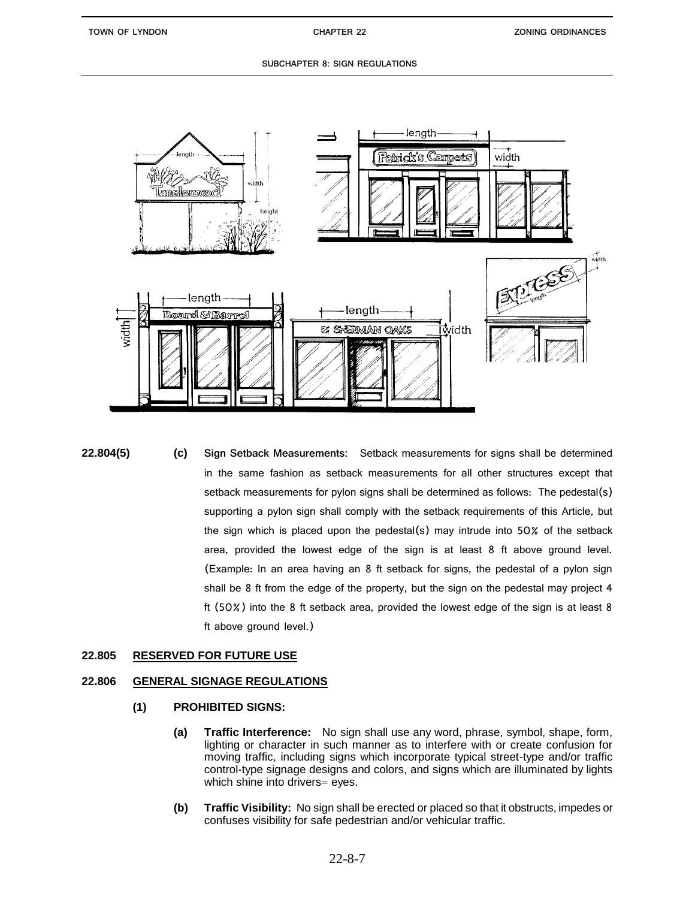

**22.804(5) (c) Sign Setback Measurements:** Setback measurements for signs shall be determined in the same fashion as setback measurements for all other structures except that setback measurements for pylon signs shall be determined as follows: The pedestal(s) supporting a pylon sign shall comply with the setback requirements of this Article, but the sign which is placed upon the pedestal(s) may intrude into 50% of the setback area, provided the lowest edge of the sign is at least 8 ft above ground level. (Example: In an area having an 8 ft setback for signs, the pedestal of a pylon sign shall be 8 ft from the edge of the property, but the sign on the pedestal may project 4 ft (50%) into the 8 ft setback area, provided the lowest edge of the sign is at least 8 ft above ground level.)

# **22.805 RESERVED FOR FUTURE USE**

## **22.806 GENERAL SIGNAGE REGULATIONS**

- **(1) PROHIBITED SIGNS:**
	- **(a) Traffic Interference:** No sign shall use any word, phrase, symbol, shape, form, lighting or character in such manner as to interfere with or create confusion for moving traffic, including signs which incorporate typical street-type and/or traffic control-type signage designs and colors, and signs which are illuminated by lights which shine into drivers= eyes.
	- **(b) Traffic Visibility:** No sign shall be erected or placed so that it obstructs, impedes or confuses visibility for safe pedestrian and/or vehicular traffic.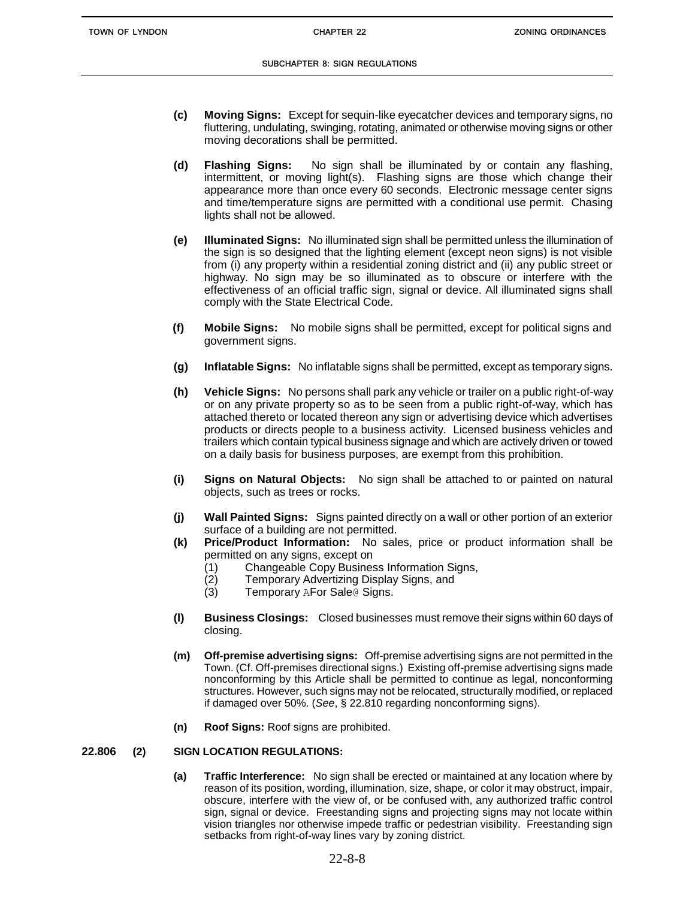- **(c) Moving Signs:** Except for sequin-like eyecatcher devices and temporary signs, no fluttering, undulating, swinging, rotating, animated or otherwise moving signs or other moving decorations shall be permitted.
- **(d) Flashing Signs:** No sign shall be illuminated by or contain any flashing, intermittent, or moving light(s). Flashing signs are those which change their appearance more than once every 60 seconds. Electronic message center signs and time/temperature signs are permitted with a conditional use permit. Chasing lights shall not be allowed.
- **(e) Illuminated Signs:** No illuminated sign shall be permitted unless the illumination of the sign is so designed that the lighting element (except neon signs) is not visible from (i) any property within a residential zoning district and (ii) any public street or highway. No sign may be so illuminated as to obscure or interfere with the effectiveness of an official traffic sign, signal or device. All illuminated signs shall comply with the State Electrical Code.
- **(f) Mobile Signs:** No mobile signs shall be permitted, except for political signs and government signs.
- **(g) Inflatable Signs:** No inflatable signs shall be permitted, except as temporary signs.
- **(h) Vehicle Signs:** No persons shall park any vehicle or trailer on a public right-of-way or on any private property so as to be seen from a public right-of-way, which has attached thereto or located thereon any sign or advertising device which advertises products or directs people to a business activity. Licensed business vehicles and trailers which contain typical business signage and which are actively driven or towed on a daily basis for business purposes, are exempt from this prohibition.
- **(i) Signs on Natural Objects:** No sign shall be attached to or painted on natural objects, such as trees or rocks.
- **(j) Wall Painted Signs:** Signs painted directly on a wall or other portion of an exterior surface of a building are not permitted.
- **(k) Price/Product Information:** No sales, price or product information shall be permitted on any signs, except on
	- (1) Changeable Copy Business Information Signs,
	- (2) Temporary Advertizing Display Signs, and<br>(3) Temporary AFor Sale@ Signs.
	- Temporary AFor Sale@ Signs.
- **(l) Business Closings:** Closed businesses must remove their signs within 60 days of closing.
- **(m) Off-premise advertising signs:** Off-premise advertising signs are not permitted in the Town. (Cf. Off-premises directional signs.) Existing off-premise advertising signs made nonconforming by this Article shall be permitted to continue as legal, nonconforming structures. However, such signs may not be relocated, structurally modified, or replaced if damaged over 50%. (*See*, § 22.810 regarding nonconforming signs).
- **(n) Roof Signs:** Roof signs are prohibited.

## **22.806 (2) SIGN LOCATION REGULATIONS:**

**(a) Traffic Interference:** No sign shall be erected or maintained at any location where by reason of its position, wording, illumination, size, shape, or color it may obstruct, impair, obscure, interfere with the view of, or be confused with, any authorized traffic control sign, signal or device. Freestanding signs and projecting signs may not locate within vision triangles nor otherwise impede traffic or pedestrian visibility. Freestanding sign setbacks from right-of-way lines vary by zoning district.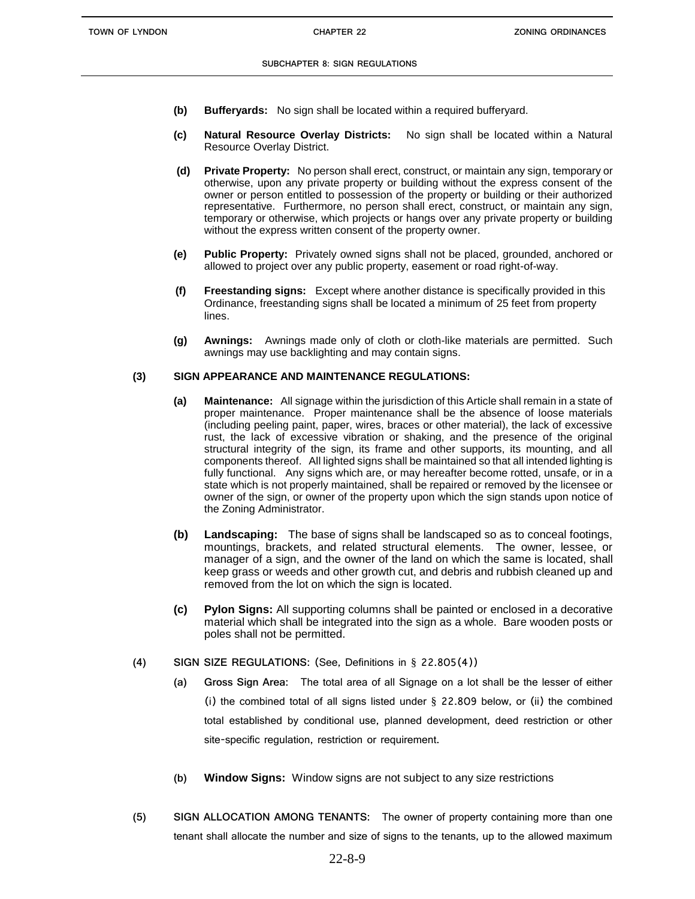- **(b) Bufferyards:** No sign shall be located within a required bufferyard.
- **(c) Natural Resource Overlay Districts:** No sign shall be located within a Natural Resource Overlay District.
- **(d) Private Property:** No person shall erect, construct, or maintain any sign, temporary or otherwise, upon any private property or building without the express consent of the owner or person entitled to possession of the property or building or their authorized representative. Furthermore, no person shall erect, construct, or maintain any sign, temporary or otherwise, which projects or hangs over any private property or building without the express written consent of the property owner.
- **(e) Public Property:** Privately owned signs shall not be placed, grounded, anchored or allowed to project over any public property, easement or road right-of-way.
- **(f) Freestanding signs:** Except where another distance is specifically provided in this Ordinance, freestanding signs shall be located a minimum of 25 feet from property lines.
- **(g) Awnings:** Awnings made only of cloth or cloth-like materials are permitted. Such awnings may use backlighting and may contain signs.

## **(3) SIGN APPEARANCE AND MAINTENANCE REGULATIONS:**

- **(a) Maintenance:** All signage within the jurisdiction of this Article shall remain in a state of proper maintenance. Proper maintenance shall be the absence of loose materials (including peeling paint, paper, wires, braces or other material), the lack of excessive rust, the lack of excessive vibration or shaking, and the presence of the original structural integrity of the sign, its frame and other supports, its mounting, and all components thereof. All lighted signs shall be maintained so that all intended lighting is fully functional. Any signs which are, or may hereafter become rotted, unsafe, or in a state which is not properly maintained, shall be repaired or removed by the licensee or owner of the sign, or owner of the property upon which the sign stands upon notice of the Zoning Administrator.
- **(b) Landscaping:** The base of signs shall be landscaped so as to conceal footings, mountings, brackets, and related structural elements. The owner, lessee, or manager of a sign, and the owner of the land on which the same is located, shall keep grass or weeds and other growth cut, and debris and rubbish cleaned up and removed from the lot on which the sign is located.
- **(c) Pylon Signs:** All supporting columns shall be painted or enclosed in a decorative material which shall be integrated into the sign as a whole. Bare wooden posts or poles shall not be permitted.
- **(4) SIGN SIZE REGULATIONS:** (See, Definitions in § 22.805(4))
	- **(a) Gross Sign Area:** The total area of all Signage on a lot shall be the lesser of either (i) the combined total of all signs listed under  $\S$  22.809 below, or (ii) the combined total established by conditional use, planned development, deed restriction or other site-specific regulation, restriction or requirement.
	- **(b) Window Signs:** Window signs are not subject to any size restrictions
- **(5) SIGN ALLOCATION AMONG TENANTS:** The owner of property containing more than one tenant shall allocate the number and size of signs to the tenants, up to the allowed maximum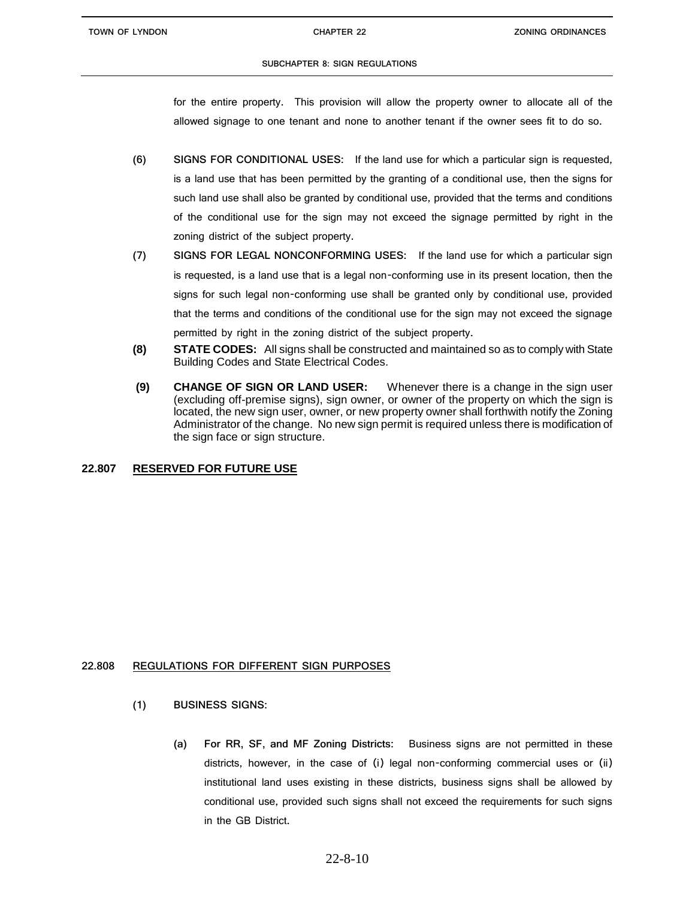for the entire property. This provision will allow the property owner to allocate all of the allowed signage to one tenant and none to another tenant if the owner sees fit to do so.

- **(6) SIGNS FOR CONDITIONAL USES:** If the land use for which a particular sign is requested, is a land use that has been permitted by the granting of a conditional use, then the signs for such land use shall also be granted by conditional use, provided that the terms and conditions of the conditional use for the sign may not exceed the signage permitted by right in the zoning district of the subject property.
- **(7) SIGNS FOR LEGAL NONCONFORMING USES:** If the land use for which a particular sign is requested, is a land use that is a legal non-conforming use in its present location, then the signs for such legal non-conforming use shall be granted only by conditional use, provided that the terms and conditions of the conditional use for the sign may not exceed the signage permitted by right in the zoning district of the subject property.
- **(8) STATE CODES:** All signs shall be constructed and maintained so as to comply with State Building Codes and State Electrical Codes.
- **(9) CHANGE OF SIGN OR LAND USER:** Whenever there is a change in the sign user (excluding off-premise signs), sign owner, or owner of the property on which the sign is located, the new sign user, owner, or new property owner shall forthwith notify the Zoning Administrator of the change. No new sign permit is required unless there is modification of the sign face or sign structure.

# **22.807 RESERVED FOR FUTURE USE**

## **22.808 REGULATIONS FOR DIFFERENT SIGN PURPOSES**

- **(1) BUSINESS SIGNS:**
	- **(a) For RR, SF, and MF Zoning Districts:** Business signs are not permitted in these districts, however, in the case of (i) legal non-conforming commercial uses or (ii) institutional land uses existing in these districts, business signs shall be allowed by conditional use, provided such signs shall not exceed the requirements for such signs in the GB District.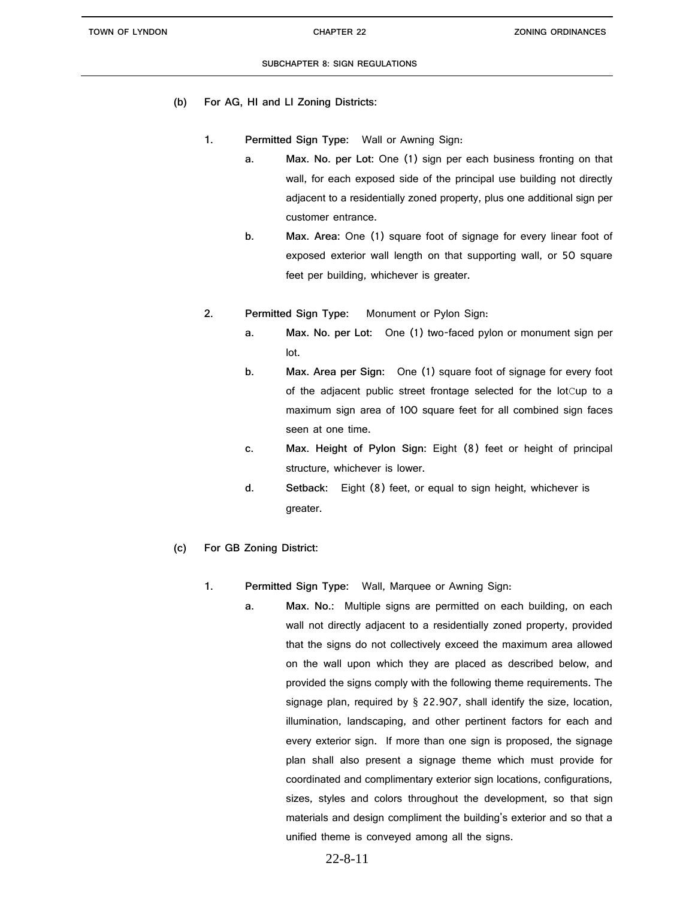- **(b) For AG, HI and LI Zoning Districts:** 
	- **1. Permitted Sign Type:** Wall or Awning Sign:
		- **a. Max. No. per Lot:** One (1) sign per each business fronting on that wall, for each exposed side of the principal use building not directly adjacent to a residentially zoned property, plus one additional sign per customer entrance.
		- **b. Max. Area:** One (1) square foot of signage for every linear foot of exposed exterior wall length on that supporting wall, or 50 square feet per building, whichever is greater.
	- **2. Permitted Sign Type:** Monument or Pylon Sign:
		- **a. Max. No. per Lot:** One (1) two-faced pylon or monument sign per lot.
		- **b. Max. Area per Sign:** One (1) square foot of signage for every foot of the adjacent public street frontage selected for the lotCup to a maximum sign area of 100 square feet for all combined sign faces seen at one time.
		- **c. Max. Height of Pylon Sign:** Eight (8) feet or height of principal structure, whichever is lower.
		- **d. Setback:** Eight (8) feet, or equal to sign height, whichever is greater.
- **(c) For GB Zoning District:**
	- **1. Permitted Sign Type:** Wall, Marquee or Awning Sign:
		- **a. Max. No.:** Multiple signs are permitted on each building, on each wall not directly adjacent to a residentially zoned property, provided that the signs do not collectively exceed the maximum area allowed on the wall upon which they are placed as described below, and provided the signs comply with the following theme requirements. The signage plan, required by § 22.907, shall identify the size, location, illumination, landscaping, and other pertinent factors for each and every exterior sign. If more than one sign is proposed, the signage plan shall also present a signage theme which must provide for coordinated and complimentary exterior sign locations, configurations, sizes, styles and colors throughout the development, so that sign materials and design compliment the building's exterior and so that a unified theme is conveyed among all the signs.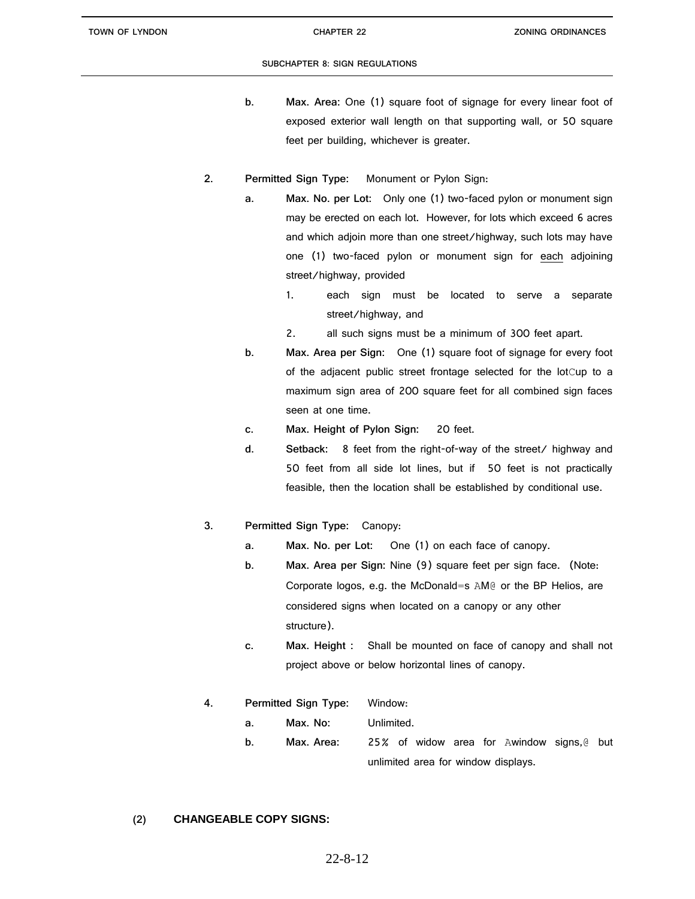- **b. Max. Area:** One (1) square foot of signage for every linear foot of exposed exterior wall length on that supporting wall, or 50 square feet per building, whichever is greater.
- **2. Permitted Sign Type:** Monument or Pylon Sign:
	- **a. Max. No. per Lot:** Only one (1) two-faced pylon or monument sign may be erected on each lot. However, for lots which exceed 6 acres and which adjoin more than one street/highway, such lots may have one (1) two-faced pylon or monument sign for each adjoining street/highway, provided
		- 1. each sign must be located to serve a separate street/highway, and
		- 2. all such signs must be a minimum of 300 feet apart.
		- **b. Max. Area per Sign:** One (1) square foot of signage for every foot of the adjacent public street frontage selected for the lotCup to a maximum sign area of 200 square feet for all combined sign faces seen at one time.
		- **c. Max. Height of Pylon Sign:** 20 feet.
		- **d. Setback:** 8 feet from the right-of-way of the street/ highway and 50 feet from all side lot lines, but if 50 feet is not practically feasible, then the location shall be established by conditional use.
- **3. Permitted Sign Type:** Canopy:
	- **a. Max. No. per Lot:** One (1) on each face of canopy.
	- **b. Max. Area per Sign:** Nine (9) square feet per sign face. (Note: Corporate logos, e.g. the McDonald=s AM@ or the BP Helios, are considered signs when located on a canopy or any other structure).
	- **c. Max. Height :** Shall be mounted on face of canopy and shall not project above or below horizontal lines of canopy.
- **4. Permitted Sign Type:** Window:
	- **a. Max. No:** Unlimited.
	- **b. Max. Area:** 25% of widow area for Awindow signs,@ but unlimited area for window displays.

# **(2) CHANGEABLE COPY SIGNS:**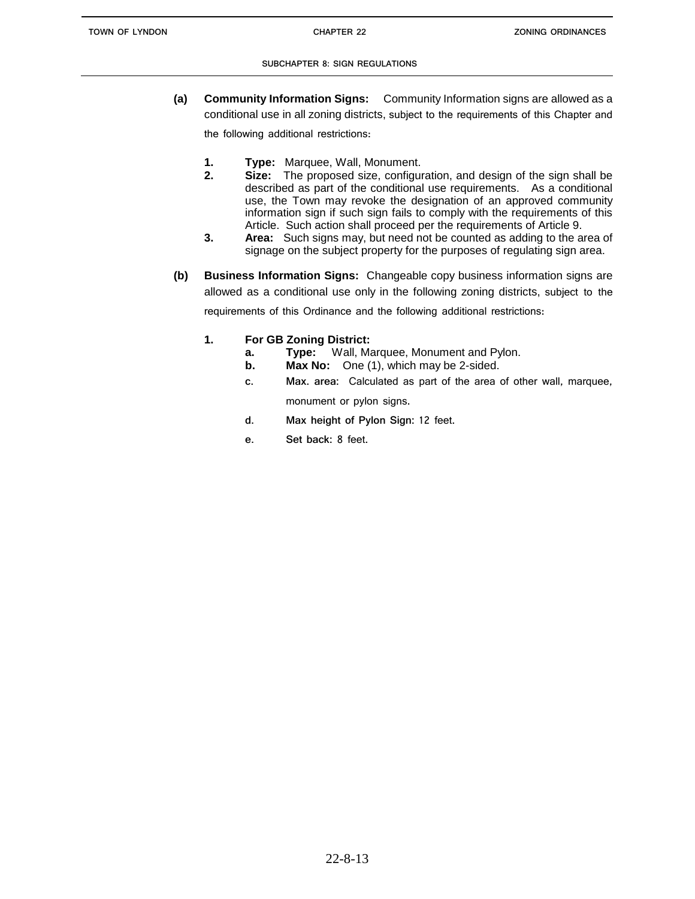**(a) Community Information Signs:** Community Information signs are allowed as a conditional use in all zoning districts, subject to the requirements of this Chapter and

the following additional restrictions:

- **1. Type:** Marquee, Wall, Monument.
- **2. Size:** The proposed size, configuration, and design of the sign shall be described as part of the conditional use requirements. As a conditional use, the Town may revoke the designation of an approved community information sign if such sign fails to comply with the requirements of this Article. Such action shall proceed per the requirements of Article 9.
- **3. Area:** Such signs may, but need not be counted as adding to the area of signage on the subject property for the purposes of regulating sign area.
- **(b) Business Information Signs:** Changeable copy business information signs are allowed as a conditional use only in the following zoning districts, subject to the requirements of this Ordinance and the following additional restrictions:
	- **1. For GB Zoning District:**
		- **a. Type:** Wall, Marquee, Monument and Pylon.
		- **b.** Max No: One (1), which may be 2-sided.
		- **c. Max. area:** Calculated as part of the area of other wall, marquee, monument or pylon signs.
		- **d. Max height of Pylon Sign:** 12 feet.
		- **e. Set back:** 8 feet.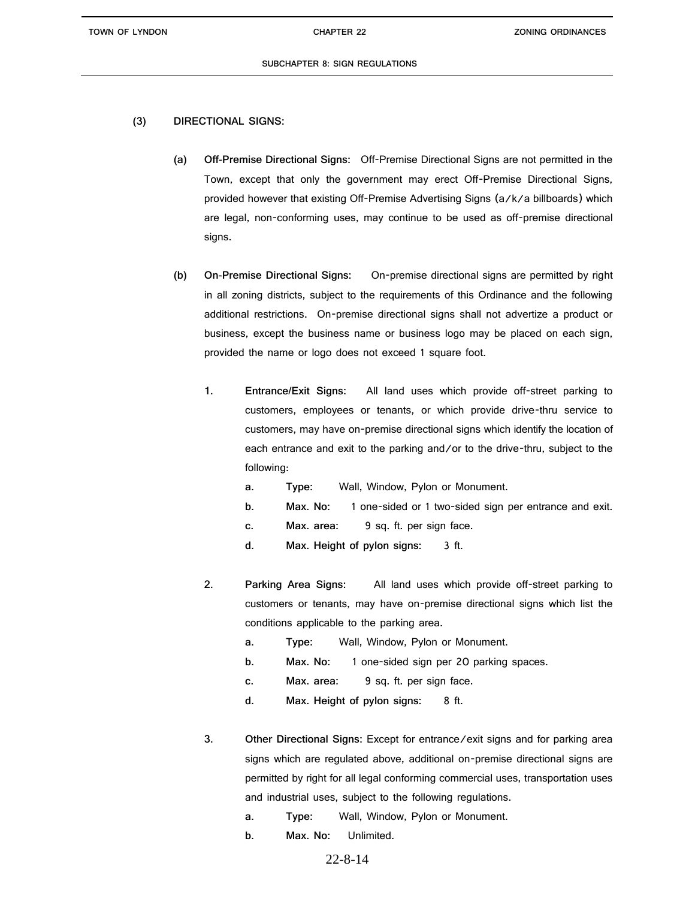**TOWN OF LYNDON CHAPTER 22**

# **(3) DIRECTIONAL SIGNS:**

- **(a) Off-Premise Directional Signs:** Off-Premise Directional Signs are not permitted in the Town, except that only the government may erect Off-Premise Directional Signs, provided however that existing Off-Premise Advertising Signs (a/k/a billboards) which are legal, non-conforming uses, may continue to be used as off-premise directional signs.
- **(b) On-Premise Directional Signs:** On-premise directional signs are permitted by right in all zoning districts, subject to the requirements of this Ordinance and the following additional restrictions. On-premise directional signs shall not advertize a product or business, except the business name or business logo may be placed on each sign, provided the name or logo does not exceed 1 square foot.
	- **1. Entrance/Exit Signs:** All land uses which provide off-street parking to customers, employees or tenants, or which provide drive-thru service to customers, may have on-premise directional signs which identify the location of each entrance and exit to the parking and/or to the drive-thru, subject to the following:
		- **a. Type:** Wall, Window, Pylon or Monument.
		- **b. Max. No:** 1 one-sided or 1 two-sided sign per entrance and exit.
		- **c. Max. area:** 9 sq. ft. per sign face.
		- **d. Max. Height of pylon signs:** 3 ft.
	- **2. Parking Area Signs:** All land uses which provide off-street parking to customers or tenants, may have on-premise directional signs which list the conditions applicable to the parking area.
		- **a. Type:** Wall, Window, Pylon or Monument.
		- **b. Max. No:** 1 one-sided sign per 20 parking spaces.
		- **c. Max. area:** 9 sq. ft. per sign face.
		- **d. Max. Height of pylon signs:** 8 ft.
	- **3. Other Directional Signs:** Except for entrance/exit signs and for parking area signs which are regulated above, additional on-premise directional signs are permitted by right for all legal conforming commercial uses, transportation uses and industrial uses, subject to the following regulations.
		- **a. Type:** Wall, Window, Pylon or Monument.
		- **b. Max. No:** Unlimited.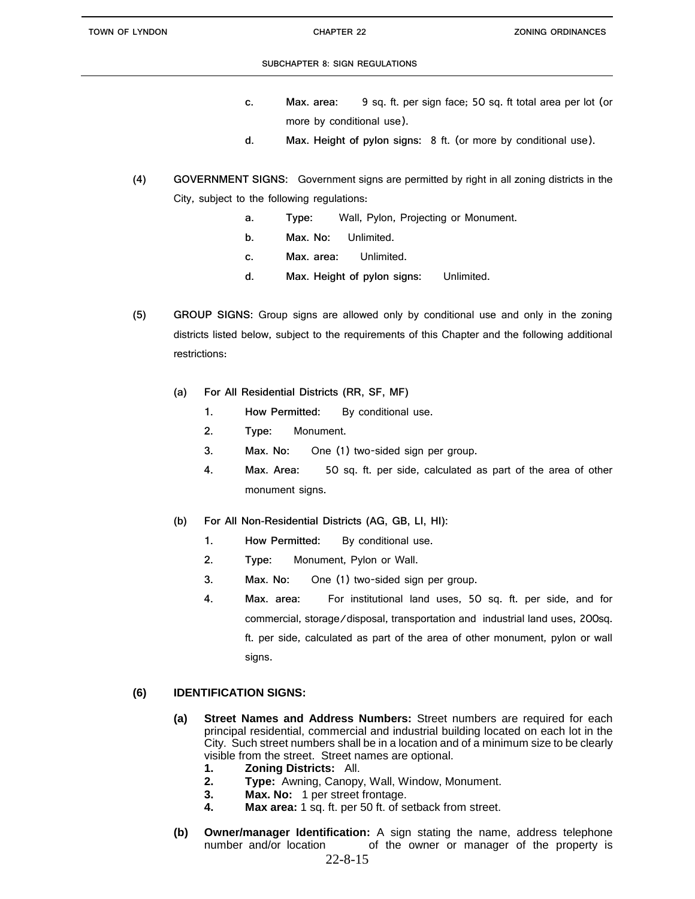- **c. Max. area:** 9 sq. ft. per sign face; 50 sq. ft total area per lot (or more by conditional use).
- **d. Max. Height of pylon signs:** 8 ft. (or more by conditional use).
- **(4) GOVERNMENT SIGNS:** Government signs are permitted by right in all zoning districts in the City, subject to the following regulations:
	- **a. Type:** Wall, Pylon, Projecting or Monument.
	- **b. Max. No:** Unlimited.
	- **c. Max. area:** Unlimited.
	- **d. Max. Height of pylon signs:** Unlimited.
- **(5) GROUP SIGNS:** Group signs are allowed only by conditional use and only in the zoning districts listed below, subject to the requirements of this Chapter and the following additional restrictions:
	- **(a) For All Residential Districts (RR, SF, MF)**
		- **1. How Permitted:** By conditional use.
		- **2. Type:** Monument.
		- **3. Max. No:** One (1) two-sided sign per group.
		- **4. Max. Area:** 50 sq. ft. per side, calculated as part of the area of other monument signs.
	- **(b) For All Non-Residential Districts (AG, GB, LI, HI):** 
		- **1. How Permitted:** By conditional use.
		- **2. Type:** Monument, Pylon or Wall.
		- **3. Max. No:** One (1) two-sided sign per group.
		- **4. Max. area:** For institutional land uses, 50 sq. ft. per side, and for commercial, storage/disposal, transportation and industrial land uses, 200sq. ft. per side, calculated as part of the area of other monument, pylon or wall signs.

# **(6) IDENTIFICATION SIGNS:**

- **(a) Street Names and Address Numbers:** Street numbers are required for each principal residential, commercial and industrial building located on each lot in the City. Such street numbers shall be in a location and of a minimum size to be clearly visible from the street. Street names are optional.
	- **1. Zoning Districts:** All.
	- **2. Type:** Awning, Canopy, Wall, Window, Monument.
	- **3. Max. No:** 1 per street frontage.
	- **4. Max area:** 1 sq. ft. per 50 ft. of setback from street.
- **(b) Owner/manager Identification:** A sign stating the name, address telephone number and/or location of the owner or manager of the property is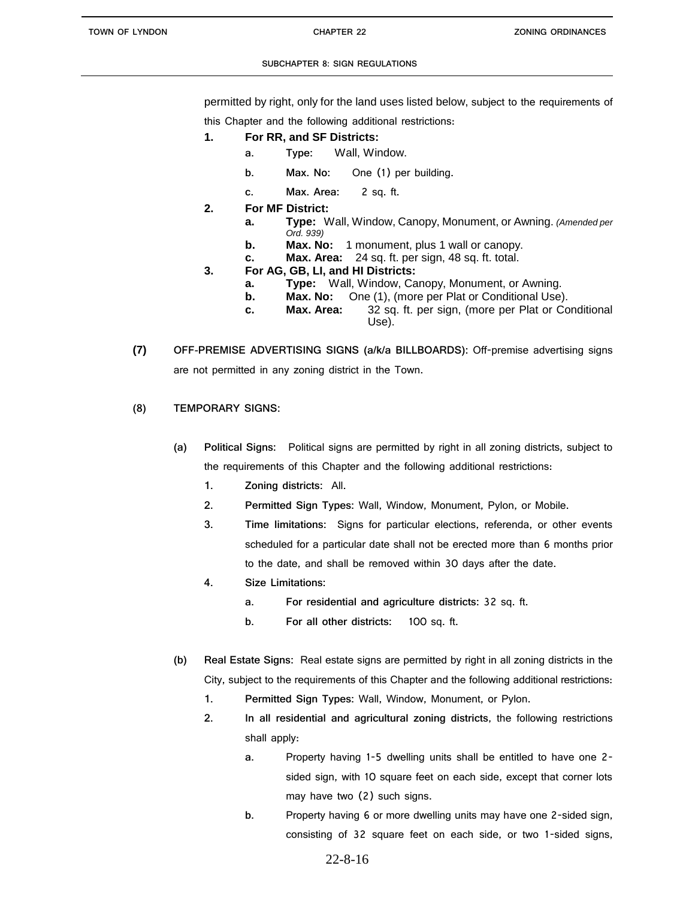permitted by right, only for the land uses listed below, subject to the requirements of

this Chapter and the following additional restrictions:

- **1. For RR, and SF Districts:** 
	- **a. Type:** Wall, Window.
	- **b. Max. No:** One (1) per building.
	- **c. Max. Area:** 2 sq. ft.
- **2. For MF District:**
	- **a. Type:** Wall, Window, Canopy, Monument, or Awning. *(Amended per Ord. 939)*
	- **b. Max. No:** 1 monument, plus 1 wall or canopy.
	- **c. Max. Area:** 24 sq. ft. per sign, 48 sq. ft. total.
- **3. For AG, GB, LI, and HI Districts:**
	- **a. Type:** Wall, Window, Canopy, Monument, or Awning.
	- **b. Max. No:** One (1), (more per Plat or Conditional Use).
	- **c. Max. Area:** 32 sq. ft. per sign, (more per Plat or Conditional Use).
- **(7) OFF-PREMISE ADVERTISING SIGNS (a/k/a BILLBOARDS):** Off-premise advertising signs are not permitted in any zoning district in the Town.
- **(8) TEMPORARY SIGNS:**
	- **(a) Political Signs:** Political signs are permitted by right in all zoning districts, subject to the requirements of this Chapter and the following additional restrictions:
		- **1. Zoning districts:** All.
		- **2. Permitted Sign Types:** Wall, Window, Monument, Pylon, or Mobile.
		- **3. Time limitations:** Signs for particular elections, referenda, or other events scheduled for a particular date shall not be erected more than 6 months prior to the date, and shall be removed within 30 days after the date.
		- **4. Size Limitations:**
			- **a. For residential and agriculture districts:** 32 sq. ft.
			- **b. For all other districts:** 100 sq. ft.
	- **(b) Real Estate Signs:** Real estate signs are permitted by right in all zoning districts in the City, subject to the requirements of this Chapter and the following additional restrictions:
		- **1. Permitted Sign Types:** Wall, Window, Monument, or Pylon.
		- **2. In all residential and agricultural zoning districts**, the following restrictions shall apply:
			- **a.** Property having 1-5 dwelling units shall be entitled to have one 2 sided sign, with 10 square feet on each side, except that corner lots may have two (2) such signs.
			- **b.** Property having 6 or more dwelling units may have one 2-sided sign, consisting of 32 square feet on each side, or two 1-sided signs,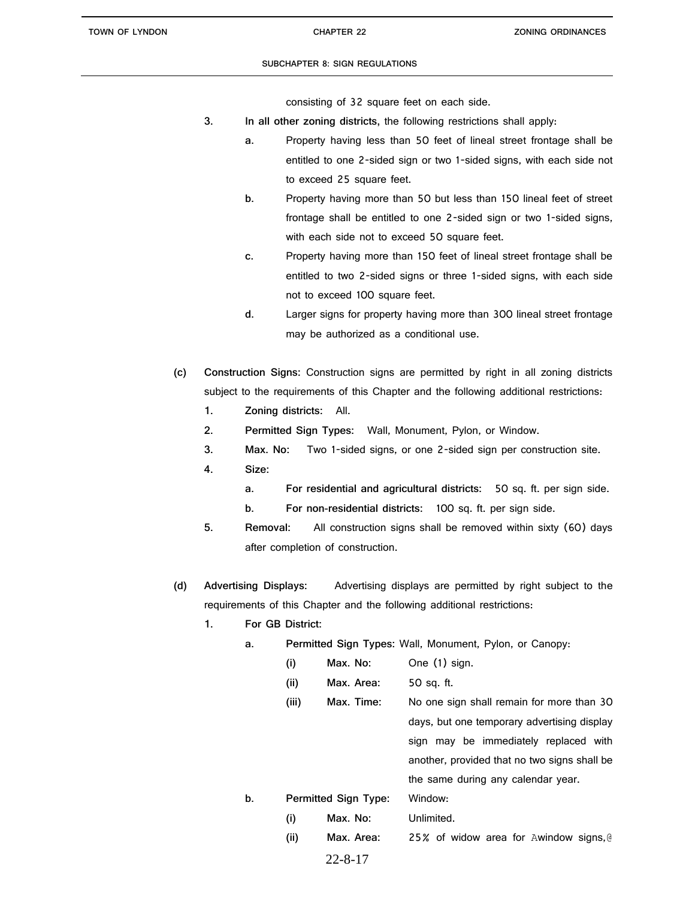consisting of 32 square feet on each side.

- **3. In all other zoning districts,** the following restrictions shall apply:
	- **a.** Property having less than 50 feet of lineal street frontage shall be entitled to one 2-sided sign or two 1-sided signs, with each side not to exceed 25 square feet.
	- **b.** Property having more than 50 but less than 150 lineal feet of street frontage shall be entitled to one 2-sided sign or two 1-sided signs, with each side not to exceed 50 square feet.
	- **c.** Property having more than 150 feet of lineal street frontage shall be entitled to two 2-sided signs or three 1-sided signs, with each side not to exceed 100 square feet.
	- **d.** Larger signs for property having more than 300 lineal street frontage may be authorized as a conditional use.
- **(c) Construction Signs:** Construction signs are permitted by right in all zoning districts subject to the requirements of this Chapter and the following additional restrictions:
	- **1. Zoning districts:** All.
	- **2. Permitted Sign Types:** Wall, Monument, Pylon, or Window.
	- **3. Max. No:** Two 1-sided signs, or one 2-sided sign per construction site.
	- **4. Size:**
		- **a. For residential and agricultural districts:** 50 sq. ft. per sign side.
		- **b. For non-residential districts:** 100 sq. ft. per sign side.
	- **5. Removal:** All construction signs shall be removed within sixty (60) days after completion of construction.
- **(d) Advertising Displays:** Advertising displays are permitted by right subject to the requirements of this Chapter and the following additional restrictions:
	- **1. For GB District:**
		- **a. Permitted Sign Types:** Wall, Monument, Pylon, or Canopy:
			- **(i) Max. No:** One (1) sign.
			- **(ii) Max. Area:** 50 sq. ft.
		- **(iii) Max. Time:** No one sign shall remain for more than 30 days, but one temporary advertising display sign may be immediately replaced with another, provided that no two signs shall be the same during any calendar year. **b. Permitted Sign Type:** Window: **(i) Max. No:** Unlimited.
			-
			- **(ii) Max. Area:** 25% of widow area for Awindow signs,@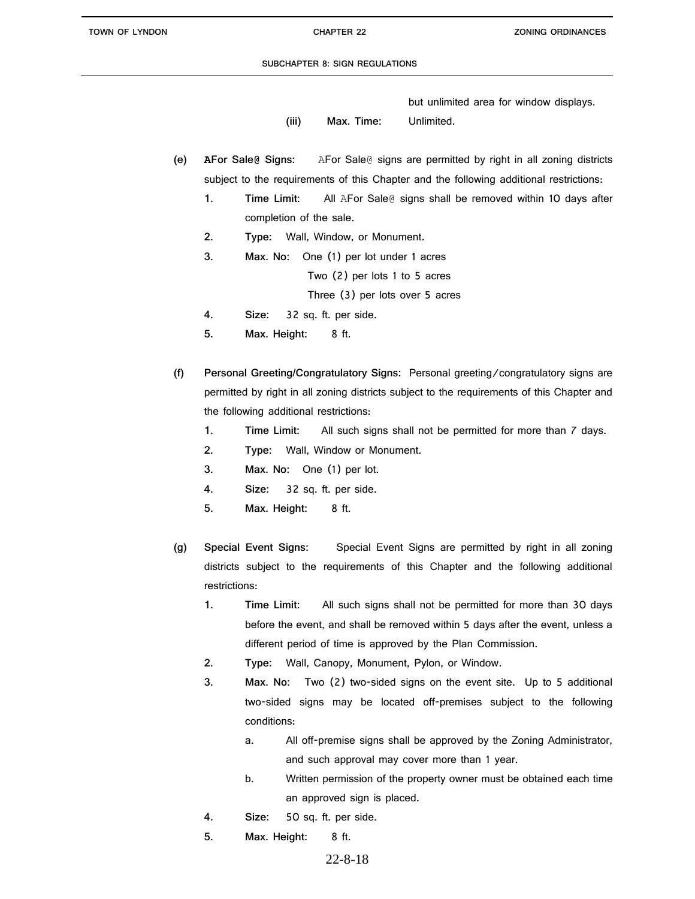but unlimited area for window displays.

- **(iii) Max. Time:** Unlimited.
- **(e) AFor Sale@ Signs:** AFor Sale@ signs are permitted by right in all zoning districts subject to the requirements of this Chapter and the following additional restrictions:
	- **1. Time Limit:** All AFor Sale@ signs shall be removed within 10 days after completion of the sale.
	- **2. Type:** Wall, Window, or Monument.
	- **3. Max. No:** One (1) per lot under 1 acres

Two (2) per lots 1 to 5 acres

Three (3) per lots over 5 acres

- **4. Size:** 32 sq. ft. per side.
- **5. Max. Height:** 8 ft.
- **(f) Personal Greeting/Congratulatory Signs:** Personal greeting/congratulatory signs are permitted by right in all zoning districts subject to the requirements of this Chapter and the following additional restrictions:
	- **1. Time Limit:** All such signs shall not be permitted for more than 7 days.
	- **2. Type:** Wall, Window or Monument.
	- **3. Max. No:** One (1) per lot.
	- **4. Size:** 32 sq. ft. per side.
	- **5. Max. Height:** 8 ft.
- **(g) Special Event Signs:** Special Event Signs are permitted by right in all zoning districts subject to the requirements of this Chapter and the following additional restrictions:
	- **1. Time Limit:** All such signs shall not be permitted for more than 30 days before the event, and shall be removed within 5 days after the event, unless a different period of time is approved by the Plan Commission.
	- **2. Type:** Wall, Canopy, Monument, Pylon, or Window**.**
	- **3. Max. No:** Two (2) two-sided signs on the event site. Up to 5 additional two-sided signs may be located off-premises subject to the following conditions:
		- a. All off-premise signs shall be approved by the Zoning Administrator, and such approval may cover more than 1 year.
		- b. Written permission of the property owner must be obtained each time an approved sign is placed.
	- **4. Size:** 50 sq. ft. per side.
	- **5. Max. Height:** 8 ft.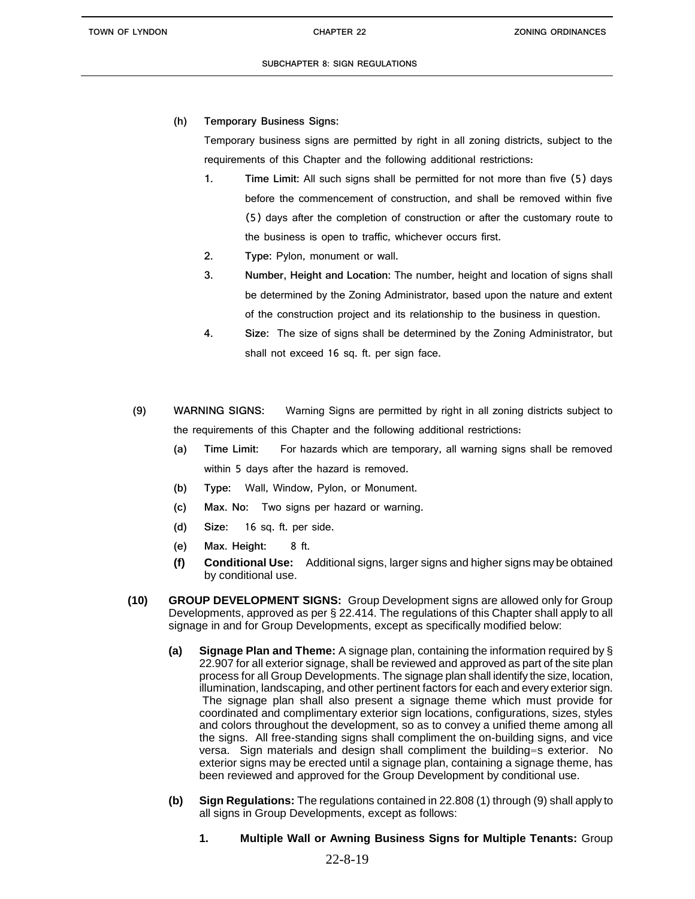**(h) Temporary Business Signs:**

Temporary business signs are permitted by right in all zoning districts, subject to the requirements of this Chapter and the following additional restrictions:

- **1. Time Limit:** All such signs shall be permitted for not more than five (5) days before the commencement of construction, and shall be removed within five (5) days after the completion of construction or after the customary route to the business is open to traffic, whichever occurs first.
- **2. Type:** Pylon, monument or wall.
- **3. Number, Height and Location:** The number, height and location of signs shall be determined by the Zoning Administrator, based upon the nature and extent of the construction project and its relationship to the business in question.
- **4. Size:** The size of signs shall be determined by the Zoning Administrator, but shall not exceed 16 sq. ft. per sign face.
- **(9) WARNING SIGNS:** Warning Signs are permitted by right in all zoning districts subject to the requirements of this Chapter and the following additional restrictions:
	- **(a) Time Limit:** For hazards which are temporary, all warning signs shall be removed within 5 days after the hazard is removed.
	- **(b) Type:** Wall, Window, Pylon, or Monument.
	- **(c) Max. No:** Two signs per hazard or warning.
	- **(d) Size:** 16 sq. ft. per side.
	- **(e) Max. Height:** 8 ft.
	- **(f) Conditional Use:** Additional signs, larger signs and higher signs may be obtained by conditional use.
- **(10) GROUP DEVELOPMENT SIGNS:** Group Development signs are allowed only for Group Developments, approved as per § 22.414. The regulations of this Chapter shall apply to all signage in and for Group Developments, except as specifically modified below:
	- **(a) Signage Plan and Theme:** A signage plan, containing the information required by § 22.907 for all exterior signage, shall be reviewed and approved as part of the site plan process for all Group Developments. The signage plan shall identify the size, location, illumination, landscaping, and other pertinent factors for each and every exterior sign. The signage plan shall also present a signage theme which must provide for coordinated and complimentary exterior sign locations, configurations, sizes, styles and colors throughout the development, so as to convey a unified theme among all the signs. All free-standing signs shall compliment the on-building signs, and vice versa. Sign materials and design shall compliment the building=s exterior. No exterior signs may be erected until a signage plan, containing a signage theme, has been reviewed and approved for the Group Development by conditional use.
	- **(b) Sign Regulations:** The regulations contained in 22.808 (1) through (9) shall apply to all signs in Group Developments, except as follows:
		- **1. Multiple Wall or Awning Business Signs for Multiple Tenants:** Group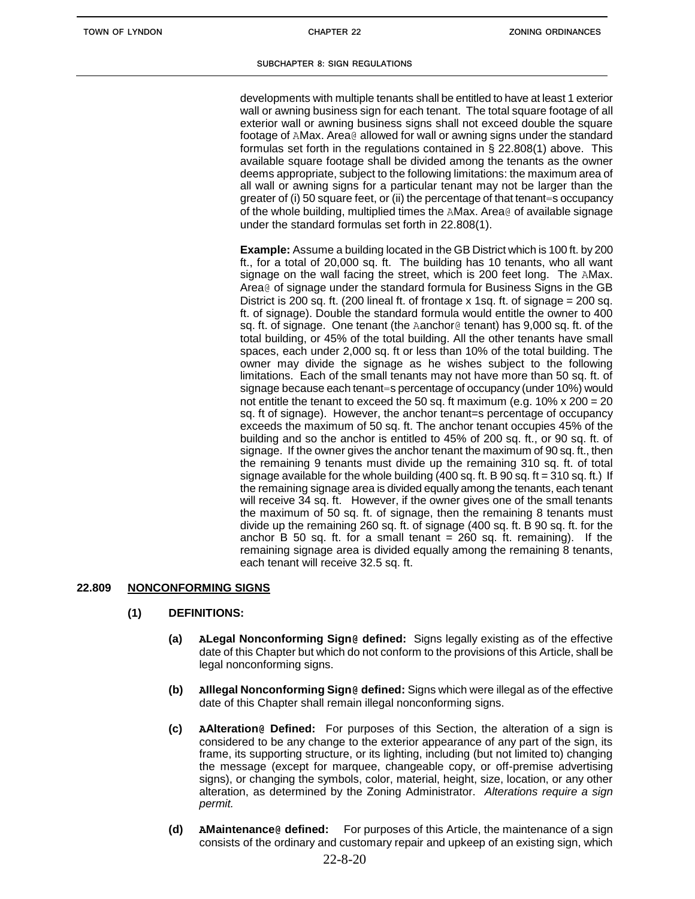developments with multiple tenants shall be entitled to have at least 1 exterior wall or awning business sign for each tenant. The total square footage of all exterior wall or awning business signs shall not exceed double the square footage of AMax. Area@ allowed for wall or awning signs under the standard formulas set forth in the regulations contained in § 22.808(1) above. This available square footage shall be divided among the tenants as the owner deems appropriate, subject to the following limitations: the maximum area of all wall or awning signs for a particular tenant may not be larger than the greater of (i) 50 square feet, or (ii) the percentage of that tenant=s occupancy of the whole building, multiplied times the AMax. Area@ of available signage under the standard formulas set forth in 22.808(1).

**Example:** Assume a building located in the GB District which is 100 ft. by 200 ft., for a total of 20,000 sq. ft. The building has 10 tenants, who all want signage on the wall facing the street, which is 200 feet long. The AMax. Area@ of signage under the standard formula for Business Signs in the GB District is 200 sq. ft. (200 lineal ft. of frontage x 1sq. ft. of signage = 200 sq. ft. of signage). Double the standard formula would entitle the owner to 400 sq. ft. of signage. One tenant (the Aanchor@ tenant) has 9,000 sq. ft. of the total building, or 45% of the total building. All the other tenants have small spaces, each under 2,000 sq. ft or less than 10% of the total building. The owner may divide the signage as he wishes subject to the following limitations. Each of the small tenants may not have more than 50 sq. ft. of signage because each tenant=s percentage of occupancy (under 10%) would not entitle the tenant to exceed the 50 sq. ft maximum (e.g.  $10\% \times 200 = 20$ ) sq. ft of signage). However, the anchor tenant=s percentage of occupancy exceeds the maximum of 50 sq. ft. The anchor tenant occupies 45% of the building and so the anchor is entitled to 45% of 200 sq. ft., or 90 sq. ft. of signage. If the owner gives the anchor tenant the maximum of 90 sq. ft., then the remaining 9 tenants must divide up the remaining 310 sq. ft. of total signage available for the whole building  $(400 \text{ sq. ft. B} 90 \text{ sq. ft} = 310 \text{ sq. ft.})$  If the remaining signage area is divided equally among the tenants, each tenant will receive 34 sq. ft. However, if the owner gives one of the small tenants the maximum of 50 sq. ft. of signage, then the remaining 8 tenants must divide up the remaining 260 sq. ft. of signage (400 sq. ft. B 90 sq. ft. for the anchor  $B$  50 sq. ft. for a small tenant = 260 sq. ft. remaining). If the remaining signage area is divided equally among the remaining 8 tenants, each tenant will receive 32.5 sq. ft.

# **22.809 NONCONFORMING SIGNS**

- **(1) DEFINITIONS:**
	- **(a) ALegal Nonconforming Sign@ defined:** Signs legally existing as of the effective date of this Chapter but which do not conform to the provisions of this Article, shall be legal nonconforming signs.
	- **(b) AIllegal Nonconforming Sign@ defined:** Signs which were illegal as of the effective date of this Chapter shall remain illegal nonconforming signs.
	- **(c) AAlteration@ Defined:** For purposes of this Section, the alteration of a sign is considered to be any change to the exterior appearance of any part of the sign, its frame, its supporting structure, or its lighting, including (but not limited to) changing the message (except for marquee, changeable copy, or off-premise advertising signs), or changing the symbols, color, material, height, size, location, or any other alteration, as determined by the Zoning Administrator. *Alterations require a sign permit.*
	- **(d) AMaintenance@ defined:** For purposes of this Article, the maintenance of a sign consists of the ordinary and customary repair and upkeep of an existing sign, which